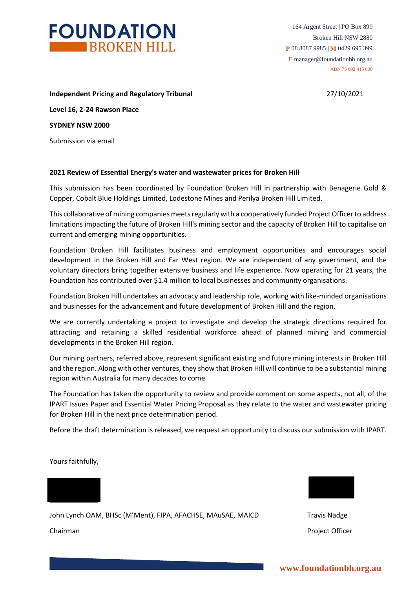

164 Argent Street | PO Box 899 Broken Hill NSW 2880 **P** 08 8087 9985 | **M** 0429 695 399 **E** manager@foundationbh.org.au ABN 75 092 415 800

**Independent Pricing and Regulatory Tribunal** 27/10/2021

**Level 16, 2-24 Rawson Place SYDNEY NSW 2000**

Submission via email

# **2021 Review of Essential Energy's water and wastewater prices for Broken Hill**

This submission has been coordinated by Foundation Broken Hill in partnership with Benagerie Gold & Copper, Cobalt Blue Holdings Limited, Lodestone Mines and Perilya Broken Hill Limited.

This collaborative of mining companies meets regularly with a cooperatively funded Project Officer to address limitations impacting the future of Broken Hill's mining sector and the capacity of Broken Hill to capitalise on current and emerging mining opportunities.

Foundation Broken Hill facilitates business and employment opportunities and encourages social development in the Broken Hill and Far West region. We are independent of any government, and the voluntary directors bring together extensive business and life experience. Now operating for 21 years, the Foundation has contributed over \$1.4 million to local businesses and community organisations.

Foundation Broken Hill undertakes an advocacy and leadership role, working with like-minded organisations and businesses for the advancement and future development of Broken Hill and the region.

We are currently undertaking a project to investigate and develop the strategic directions required for attracting and retaining a skilled residential workforce ahead of planned mining and commercial developments in the Broken Hill region.

Our mining partners, referred above, represent significant existing and future mining interests in Broken Hill and the region. Along with other ventures, they show that Broken Hill will continue to be a substantial mining region within Australia for many decades to come.

The Foundation has taken the opportunity to review and provide comment on some aspects, not all, of the IPART Issues Paper and Essential Water Pricing Proposal as they relate to the water and wastewater pricing for Broken Hill in the next price determination period.

Before the draft determination is released, we request an opportunity to discuss our submission with IPART.

Yours faithfully,



Chairman Project Officer

John Lynch OAM, BHSc (M'Ment), FIPA, AFACHSE, MAuSAE, MAICD Travis Nadge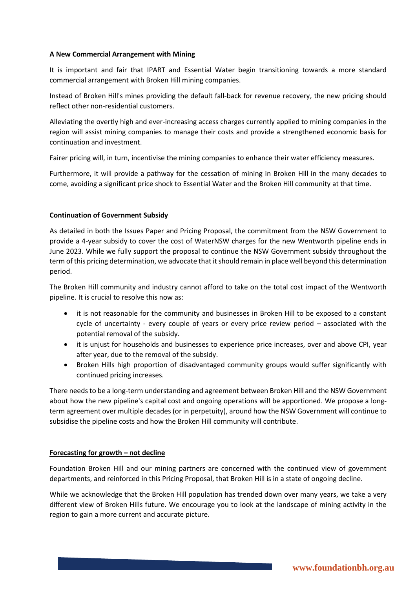## **A New Commercial Arrangement with Mining**

It is important and fair that IPART and Essential Water begin transitioning towards a more standard commercial arrangement with Broken Hill mining companies.

Instead of Broken Hill's mines providing the default fall-back for revenue recovery, the new pricing should reflect other non-residential customers.

Alleviating the overtly high and ever-increasing access charges currently applied to mining companies in the region will assist mining companies to manage their costs and provide a strengthened economic basis for continuation and investment.

Fairer pricing will, in turn, incentivise the mining companies to enhance their water efficiency measures.

Furthermore, it will provide a pathway for the cessation of mining in Broken Hill in the many decades to come, avoiding a significant price shock to Essential Water and the Broken Hill community at that time.

# **Continuation of Government Subsidy**

As detailed in both the Issues Paper and Pricing Proposal, the commitment from the NSW Government to provide a 4-year subsidy to cover the cost of WaterNSW charges for the new Wentworth pipeline ends in June 2023. While we fully support the proposal to continue the NSW Government subsidy throughout the term of this pricing determination, we advocate that it should remain in place well beyond this determination period.

The Broken Hill community and industry cannot afford to take on the total cost impact of the Wentworth pipeline. It is crucial to resolve this now as:

- it is not reasonable for the community and businesses in Broken Hill to be exposed to a constant cycle of uncertainty - every couple of years or every price review period – associated with the potential removal of the subsidy.
- it is unjust for households and businesses to experience price increases, over and above CPI, year after year, due to the removal of the subsidy.
- Broken Hills high proportion of disadvantaged community groups would suffer significantly with continued pricing increases.

There needs to be a long-term understanding and agreement between Broken Hill and the NSW Government about how the new pipeline's capital cost and ongoing operations will be apportioned. We propose a longterm agreement over multiple decades (or in perpetuity), around how the NSW Government will continue to subsidise the pipeline costs and how the Broken Hill community will contribute.

## **Forecasting for growth – not decline**

Foundation Broken Hill and our mining partners are concerned with the continued view of government departments, and reinforced in this Pricing Proposal, that Broken Hill is in a state of ongoing decline.

While we acknowledge that the Broken Hill population has trended down over many years, we take a very different view of Broken Hills future. We encourage you to look at the landscape of mining activity in the region to gain a more current and accurate picture.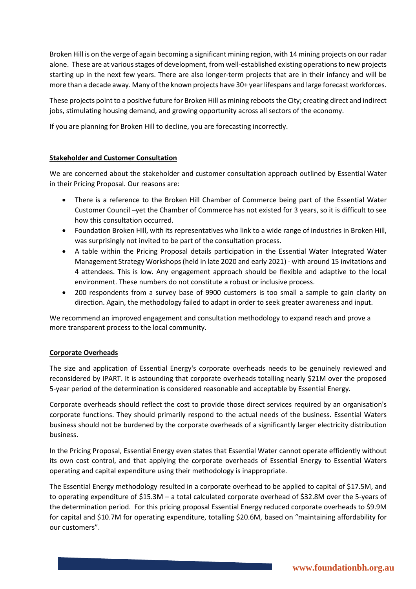Broken Hill is on the verge of again becoming a significant mining region, with 14 mining projects on our radar alone. These are at various stages of development, from well-established existing operations to new projects starting up in the next few years. There are also longer-term projects that are in their infancy and will be more than a decade away. Many of the known projects have 30+ year lifespans and large forecast workforces.

These projects point to a positive future for Broken Hill as mining reboots the City; creating direct and indirect jobs, stimulating housing demand, and growing opportunity across all sectors of the economy.

If you are planning for Broken Hill to decline, you are forecasting incorrectly.

# **Stakeholder and Customer Consultation**

We are concerned about the stakeholder and customer consultation approach outlined by Essential Water in their Pricing Proposal. Our reasons are:

- There is a reference to the Broken Hill Chamber of Commerce being part of the Essential Water Customer Council –yet the Chamber of Commerce has not existed for 3 years, so it is difficult to see how this consultation occurred.
- Foundation Broken Hill, with its representatives who link to a wide range of industries in Broken Hill, was surprisingly not invited to be part of the consultation process.
- A table within the Pricing Proposal details participation in the Essential Water Integrated Water Management Strategy Workshops (held in late 2020 and early 2021) - with around 15 invitations and 4 attendees. This is low. Any engagement approach should be flexible and adaptive to the local environment. These numbers do not constitute a robust or inclusive process.
- 200 respondents from a survey base of 9900 customers is too small a sample to gain clarity on direction. Again, the methodology failed to adapt in order to seek greater awareness and input.

We recommend an improved engagement and consultation methodology to expand reach and prove a more transparent process to the local community.

## **Corporate Overheads**

The size and application of Essential Energy's corporate overheads needs to be genuinely reviewed and reconsidered by IPART. It is astounding that corporate overheads totalling nearly \$21M over the proposed 5-year period of the determination is considered reasonable and acceptable by Essential Energy.

Corporate overheads should reflect the cost to provide those direct services required by an organisation's corporate functions. They should primarily respond to the actual needs of the business. Essential Waters business should not be burdened by the corporate overheads of a significantly larger electricity distribution business.

In the Pricing Proposal, Essential Energy even states that Essential Water cannot operate efficiently without its own cost control, and that applying the corporate overheads of Essential Energy to Essential Waters operating and capital expenditure using their methodology is inappropriate.

The Essential Energy methodology resulted in a corporate overhead to be applied to capital of \$17.5M, and to operating expenditure of \$15.3M – a total calculated corporate overhead of \$32.8M over the 5-years of the determination period. For this pricing proposal Essential Energy reduced corporate overheads to \$9.9M for capital and \$10.7M for operating expenditure, totalling \$20.6M, based on "maintaining affordability for our customers".